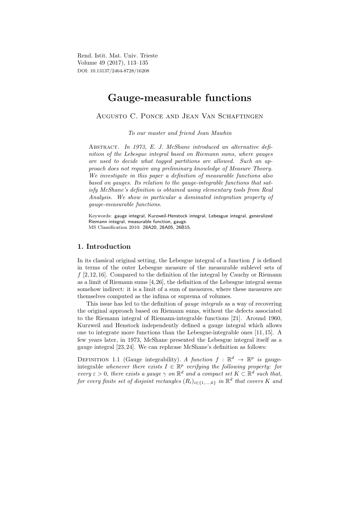Rend. Istit. Mat. Univ. Trieste Volume 49 (2017), 113–135 DOI: 10.13137/2464-8728/16208

# Gauge-measurable functions

# Augusto C. Ponce and Jean Van Schaftingen

To our master and friend Jean Mawhin

ABSTRACT. In 1973, E. J. McShane introduced an alternative definition of the Lebesgue integral based on Riemann sums, where gauges are used to decide what tagged partitions are allowed. Such an approach does not require any preliminary knowledge of Measure Theory. We investigate in this paper a definition of measurable functions also based on gauges. Its relation to the gauge-integrable functions that satisfy McShane's definition is obtained using elementary tools from Real Analysis. We show in particular a dominated integration property of gauge-measurable functions.

Keywords: gauge integral, Kurzweil-Henstock integral, Lebesgue integral, generalized Riemann integral, measurable function, gauge. MS Classification 2010: 28A20, 28A05, 26B15.

# 1. Introduction

In its classical original setting, the Lebesgue integral of a function  $f$  is defined in terms of the outer Lebesgue measure of the measurable sublevel sets of  $f$  [2, 12, 16]. Compared to the definition of the integral by Cauchy or Riemann as a limit of Riemann sums [4,26], the definition of the Lebesgue integral seems somehow indirect: it is a limit of a sum of measures, where these measures are themselves computed as the infima or suprema of volumes.

This issue has led to the definition of gauge integrals as a way of recovering the original approach based on Riemann sums, without the defects associated to the Riemann integral of Riemann-integrable functions [21]. Around 1960, Kurzweil and Henstock independently defined a gauge integral which allows one to integrate more functions than the Lebesgue-integrable ones [11, 15]. A few years later, in 1973, McShane presented the Lebesgue integral itself as a gauge integral [23, 24]. We can rephrase McShane's definition as follows:

DEFINITION 1.1 (Gauge integrability). A function  $f : \mathbb{R}^d \to \mathbb{R}^p$  is gaugeintegrable whenever there exists  $I \in \mathbb{R}^p$  verifying the following property: for every  $\varepsilon > 0$ , there exists a gauge  $\gamma$  on  $\mathbb{R}^d$  and a compact set  $K \subset \mathbb{R}^d$  such that, for every finite set of disjoint rectangles  $(R_i)_{i \in \{1,\ldots,k\}}$  in  $\mathbb{R}^d$  that covers K and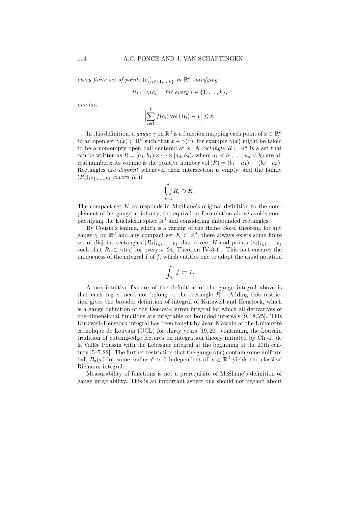every finite set of points  $(c_i)_{i \in \{1,...,k\}}$  in  $\mathbb{R}^d$  satisfying

$$
R_i \subset \gamma(c_i) \quad \text{for every } i \in \{1, \ldots, k\},
$$

one has

$$
\left|\sum_{i=1}^k f(c_i) \operatorname{vol}(R_i) - I\right| \leq \varepsilon.
$$

In this definition, a gauge  $\gamma$  on  $\mathbb{R}^d$  is a function mapping each point of  $x \in \mathbb{R}^d$ to an open set  $\gamma(x) \subset \mathbb{R}^d$  such that  $x \in \gamma(x)$ ; for example  $\gamma(x)$  might be taken to be a non-empty open ball centered at x. A rectangle  $R \subset \mathbb{R}^d$  is a set that can be written as  $R = [a_1, b_1) \times \cdots \times [a_d, b_d)$ , where  $a_1 < b_1, \ldots, a_d < b_d$  are all real numbers; its volume is the positive number vol  $(R) = (b_1 - a_1) \cdots (b_d - a_d)$ . Rectangles are *disjoint* whenever their intersection is empty, and the family  $(R_i)_{i\in\{1,\ldots,k\}}$  covers K if

$$
\bigcup_{i=1}^k R_i \supset K.
$$

The compact set  $K$  corresponds in McShane's original definition to the complement of his gauge at infinity; the equivalent formulation above avoids compactifying the Euclidean space  $\mathbb{R}^d$  and considering unbounded rectangles.

By Cousin's lemma, which is a variant of the Heine–Borel theorem, for any gauge  $\gamma$  on  $\mathbb{R}^d$  and any compact set  $K \subset \mathbb{R}^d$ , there always exists some finite set of disjoint rectangles  $(R_i)_{i\in\{1,\ldots,k\}}$  that covers K and points  $(c_i)_{i\in\{1,\ldots,k\}}$ such that  $R_i \subset \gamma(c_i)$  for every i [24, Theorem IV-3-1]. This fact ensures the uniqueness of the integral  $I$  of  $f$ , which entitles one to adopt the usual notation

$$
\int_{\mathbb{R}^d} f := I.
$$

A non-intuitive feature of the definition of the gauge integral above is that each tag  $c_i$  need not belong to the rectangle  $R_i$ . Adding this restriction gives the broader definition of integral of Kurzweil and Henstock, which is a gauge definition of the Denjoy–Perron integral for which all derivatives of one-dimensional functions are integrable on bounded intervals [9, 18, 25]. This Kurzweil–Henstock integral has been taught by Jean Mawhin at the Université catholique de Louvain (UCL) for thirty years [19, 20], continuing the Louvain tradition of cutting-edge lectures on integration theory initiated by Ch.-J. de la Vallée Poussin with the Lebesgue integral at the beginning of the 20th century [5–7,22]. The further restriction that the gauge  $\gamma(x)$  contain some uniform ball  $B_\delta(x)$  for some radius  $\delta > 0$  independent of  $x \in \mathbb{R}^d$  yields the classical Riemann integral.

Measurability of functions is not a prerequisite of McShane's definition of gauge integrability. This is an important aspect one should not neglect about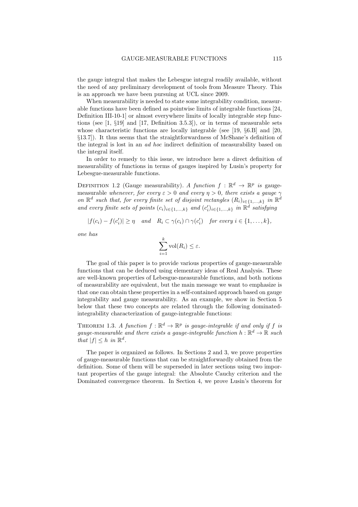the gauge integral that makes the Lebesgue integral readily available, without the need of any preliminary development of tools from Measure Theory. This is an approach we have been pursuing at UCL since 2009.

When measurability is needed to state some integrability condition, measurable functions have been defined as pointwise limits of integrable functions [24, Definition III-10-1] or almost everywhere limits of locally integrable step functions (see  $[1, \, \S19]$  and  $[17,$  Definition 3.5.3]), or in terms of measurable sets whose characteristic functions are locally integrable (see [19, §6.B] and [20, §13.7]). It thus seems that the straightforwardness of McShane's definition of the integral is lost in an ad hoc indirect definition of measurability based on the integral itself.

In order to remedy to this issue, we introduce here a direct definition of measurability of functions in terms of gauges inspired by Lusin's property for Lebesgue-measurable functions.

DEFINITION 1.2 (Gauge measurability). A function  $f : \mathbb{R}^d \to \mathbb{R}^p$  is gaugemeasurable whenever, for every  $\varepsilon > 0$  and every  $\eta > 0$ , there exists a gauge  $\gamma$ on  $\mathbb{R}^d$  such that, for every finite set of disjoint rectangles  $(R_i)_{i \in \{1,\ldots,k\}}$  in  $\mathbb{R}^d$ and every finite sets of points  $(c_i)_{i \in \{1,\ldots,k\}}$  and  $(c'_i)_{i \in \{1,\ldots,k\}}$  in  $\mathbb{R}^d$  satisfying

$$
|f(c_i)-f(c'_i)| \geq \eta \quad and \quad R_i \subset \gamma(c_i) \cap \gamma(c'_i) \quad \text{for every } i \in \{1,\ldots,k\},
$$

one has

$$
\sum_{i=1}^k \text{vol}(R_i) \leq \varepsilon.
$$

The goal of this paper is to provide various properties of gauge-measurable functions that can be deduced using elementary ideas of Real Analysis. These are well-known properties of Lebesgue-measurable functions, and both notions of measurability are equivalent, but the main message we want to emphasize is that one can obtain these properties in a self-contained approach based on gauge integrability and gauge measurability. As an example, we show in Section 5 below that these two concepts are related through the following dominatedintegrability characterization of gauge-integrable functions:

THEOREM 1.3. A function  $f : \mathbb{R}^d \to \mathbb{R}^p$  is gauge-integrable if and only if f is gauge-measurable and there exists a gauge-integrable function  $h : \mathbb{R}^d \to \mathbb{R}$  such that  $|f| \leq h$  in  $\mathbb{R}^d$ .

The paper is organized as follows. In Sections 2 and 3, we prove properties of gauge-measurable functions that can be straightforwardly obtained from the definition. Some of them will be superseded in later sections using two important properties of the gauge integral: the Absolute Cauchy criterion and the Dominated convergence theorem. In Section 4, we prove Lusin's theorem for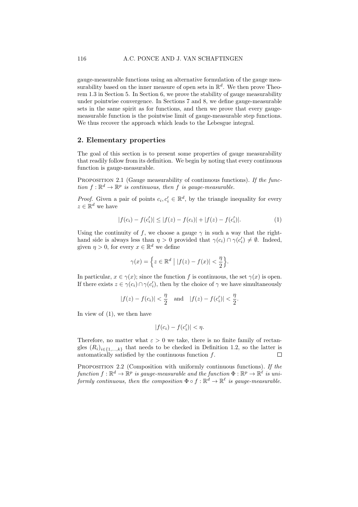gauge-measurable functions using an alternative formulation of the gauge measurability based on the inner measure of open sets in  $\mathbb{R}^d$ . We then prove Theorem 1.3 in Section 5. In Section 6, we prove the stability of gauge measurability under pointwise convergence. In Sections 7 and 8, we define gauge-measurable sets in the same spirit as for functions, and then we prove that every gaugemeasurable function is the pointwise limit of gauge-measurable step functions. We thus recover the approach which leads to the Lebesgue integral.

### 2. Elementary properties

The goal of this section is to present some properties of gauge measurability that readily follow from its definition. We begin by noting that every continuous function is gauge-measurable.

PROPOSITION 2.1 (Gauge measurability of continuous functions). If the function  $f: \mathbb{R}^d \to \mathbb{R}^p$  is continuous, then f is gauge-measurable.

*Proof.* Given a pair of points  $c_i, c'_i \in \mathbb{R}^d$ , by the triangle inequality for every  $z \in \mathbb{R}^d$  we have

$$
|f(c_i) - f(c'_i)| \le |f(z) - f(c_i)| + |f(z) - f(c'_i)|.
$$
 (1)

Using the continuity of f, we choose a gauge  $\gamma$  in such a way that the righthand side is always less than  $\eta > 0$  provided that  $\gamma(c_i) \cap \gamma(c'_i) \neq \emptyset$ . Indeed, given  $\eta > 0$ , for every  $x \in \mathbb{R}^d$  we define

$$
\gamma(x) = \left\{ z \in \mathbb{R}^d \mid |f(z) - f(x)| < \frac{\eta}{2} \right\}.
$$

In particular,  $x \in \gamma(x)$ ; since the function f is continuous, the set  $\gamma(x)$  is open. If there exists  $z \in \gamma(c_i) \cap \gamma(c'_i)$ , then by the choice of  $\gamma$  we have simultaneously

$$
|f(z) - f(c_i)| < \frac{\eta}{2}
$$
 and  $|f(z) - f(c'_i)| < \frac{\eta}{2}$ .

In view of (1), we then have

$$
|f(c_i) - f(c'_i)| < \eta.
$$

Therefore, no matter what  $\varepsilon > 0$  we take, there is no finite family of rectangles  $(R_i)_{i\in\{1,\ldots,k\}}$  that needs to be checked in Definition 1.2, so the latter is automatically satisfied by the continuous function f.  $\Box$ 

PROPOSITION 2.2 (Composition with uniformly continuous functions). If the function  $f: \mathbb{R}^d \to \mathbb{R}^p$  is gauge-measurable and the function  $\Phi: \mathbb{R}^p \to \mathbb{R}^\ell$  is uniformly continuous, then the composition  $\Phi \circ f : \mathbb{R}^d \to \mathbb{R}^\ell$  is gauge-measurable.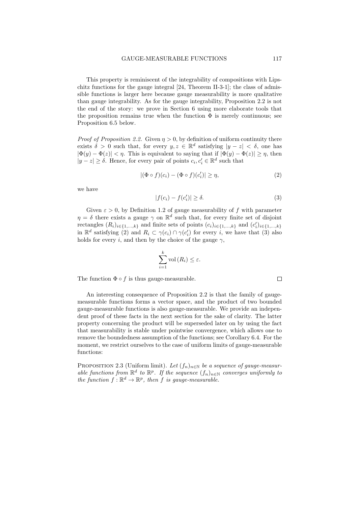This property is reminiscent of the integrability of compositions with Lipschitz functions for the gauge integral [24, Theorem II-3-1]; the class of admissible functions is larger here because gauge measurability is more qualitative than gauge integrability. As for the gauge integrability, Proposition 2.2 is not the end of the story: we prove in Section 6 using more elaborate tools that the proposition remains true when the function  $\Phi$  is merely continuous; see Proposition 6.5 below.

*Proof of Proposition 2.2.* Given  $\eta > 0$ , by definition of uniform continuity there exists  $\delta > 0$  such that, for every  $y, z \in \mathbb{R}^d$  satisfying  $|y - z| < \delta$ , one has  $|\Phi(y) - \Phi(z)| < \eta$ . This is equivalent to saying that if  $|\Phi(y) - \Phi(z)| \geq \eta$ , then  $|y - z| \ge \delta$ . Hence, for every pair of points  $c_i, c'_i \in \mathbb{R}^d$  such that

$$
|(\Phi \circ f)(c_i) - (\Phi \circ f)(c'_i)| \ge \eta,
$$
\n(2)

we have

$$
|f(c_i) - f(c'_i)| \ge \delta. \tag{3}
$$

Given  $\varepsilon > 0$ , by Definition 1.2 of gauge measurability of f with parameter  $\eta = \delta$  there exists a gauge  $\gamma$  on  $\mathbb{R}^d$  such that, for every finite set of disjoint rectangles  $(R_i)_{i \in \{1,\ldots,k\}}$  and finite sets of points  $(c_i)_{i \in \{1,\ldots,k\}}$  and  $(c'_i)_{i \in \{1,\ldots,k\}}$ in  $\mathbb{R}^d$  satisfying (2) and  $R_i \subset \gamma(c_i) \cap \gamma(c'_i)$  for every i, we have that (3) also holds for every i, and then by the choice of the gauge  $\gamma$ ,

$$
\sum_{i=1}^{k} \text{vol}(R_i) \leq \varepsilon.
$$

The function  $\Phi \circ f$  is thus gauge-measurable.

An interesting consequence of Proposition 2.2 is that the family of gaugemeasurable functions forms a vector space, and the product of two bounded gauge-measurable functions is also gauge-measurable. We provide an independent proof of these facts in the next section for the sake of clarity. The latter property concerning the product will be superseded later on by using the fact that measurability is stable under pointwise convergence, which allows one to remove the boundedness assumption of the functions; see Corollary 6.4. For the moment, we restrict ourselves to the case of uniform limits of gauge-measurable functions:

PROPOSITION 2.3 (Uniform limit). Let  $(f_n)_{n\in\mathbb{N}}$  be a sequence of gauge-measurable functions from  $\mathbb{R}^d$  to  $\mathbb{R}^p$ . If the sequence  $(f_n)_{n\in\mathbb{N}}$  converges uniformly to the function  $f : \mathbb{R}^d \to \mathbb{R}^p$ , then f is gauge-measurable.

 $\Box$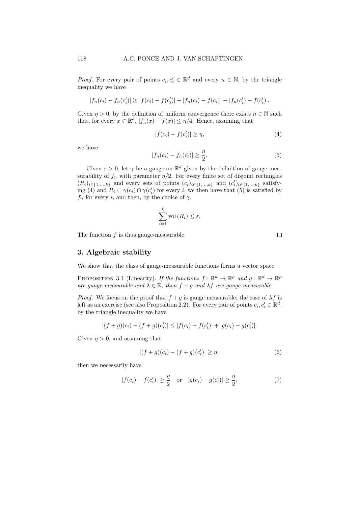*Proof.* For every pair of points  $c_i, c'_i \in \mathbb{R}^d$  and every  $n \in \mathbb{N}$ , by the triangle inequality we have

$$
|f_n(c_i) - f_n(c'_i)| \ge |f(c_i) - f(c'_i)| - |f_n(c_i) - f(c_i)| - |f_n(c'_i) - f(c'_i)|.
$$

Given  $\eta > 0$ , by the definition of uniform convergence there exists  $n \in \mathbb{N}$  such that, for every  $x \in \mathbb{R}^d$ ,  $|f_n(x) - f(x)| \leq \eta/4$ . Hence, assuming that

$$
|f(c_i) - f(c'_i)| \ge \eta,\tag{4}
$$

we have

$$
|f_n(c_i) - f_n(c'_i)| \ge \frac{\eta}{2}.
$$
 (5)

Given  $\varepsilon > 0$ , let  $\gamma$  be a gauge on  $\mathbb{R}^d$  given by the definition of gauge measurability of  $f_n$  with parameter  $\eta/2$ . For every finite set of disjoint rectangles  $(R_i)_{i\in\{1,\ldots,k\}}$  and every sets of points  $(c_i)_{i\in\{1,\ldots,k\}}$  and  $(c'_i)_{i\in\{1,\ldots,k\}}$  satisfying (4) and  $R_i \subset \gamma(c_i) \cap \gamma(c'_i)$  for every i, we then have that (5) is satisfied by  $f_n$  for every i, and then, by the choice of  $\gamma$ ,

$$
\sum_{i=1}^{k} \text{vol}(R_i) \leq \varepsilon.
$$

The function  $f$  is thus gauge-measurable.

 $\Box$ 

# 3. Algebraic stability

We show that the class of gauge-measurable functions forms a vector space:

PROPOSITION 3.1 (Linearity). If the functions  $f : \mathbb{R}^d \to \mathbb{R}^p$  and  $g : \mathbb{R}^d \to \mathbb{R}^p$ are gauge-measurable and  $\lambda \in \mathbb{R}$ , then  $f + g$  and  $\lambda f$  are gauge-measurable.

*Proof.* We focus on the proof that  $f + g$  is gauge measurable; the case of  $\lambda f$  is left as an exercise (see also Proposition 2.2). For every pair of points  $c_i, c'_i \in \mathbb{R}^d$ , by the triangle inequality we have

$$
|(f+g)(c_i)-(f+g)(c_i')| \leq |f(c_i)-f(c_i')| + |g(c_i)-g(c_i')|.
$$

Given  $\eta > 0$ , and assuming that

$$
|(f+g)(c_i) - (f+g)(c'_i)| \ge \eta,
$$
\n(6)

then we necessarily have

$$
|f(c_i) - f(c'_i)| \ge \frac{\eta}{2}
$$
 or  $|g(c_i) - g(c'_i)| \ge \frac{\eta}{2}$ . (7)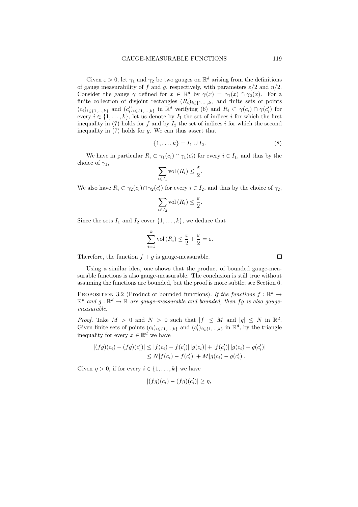Given  $\varepsilon > 0$ , let  $\gamma_1$  and  $\gamma_2$  be two gauges on  $\mathbb{R}^d$  arising from the definitions of gauge measurability of f and g, respectively, with parameters  $\varepsilon/2$  and  $\eta/2$ . Consider the gauge  $\gamma$  defined for  $x \in \mathbb{R}^d$  by  $\gamma(x) = \gamma_1(x) \cap \gamma_2(x)$ . For a finite collection of disjoint rectangles  $(R_i)_{i\in\{1,\ldots,k\}}$  and finite sets of points  $(c_i)_{i\in\{1,\ldots,k\}}$  and  $(c'_i)_{i\in\{1,\ldots,k\}}$  in  $\mathbb{R}^d$  verifying (6) and  $R_i \subset \gamma(c_i) \cap \gamma(c'_i)$  for every  $i \in \{1, \ldots, k\}$ , let us denote by  $I_1$  the set of indices i for which the first inequality in  $(7)$  holds for f and by  $I_2$  the set of indices i for which the second inequality in  $(7)$  holds for  $q$ . We can thus assert that

$$
\{1, \ldots, k\} = I_1 \cup I_2. \tag{8}
$$

We have in particular  $R_i \subset \gamma_1(c_i) \cap \gamma_1(c'_i)$  for every  $i \in I_1$ , and thus by the choice of  $\gamma_1$ ,

$$
\sum_{i\in I_1} \text{vol}\left(R_i\right) \leq \frac{\varepsilon}{2}.
$$

We also have  $R_i \subset \gamma_2(c_i) \cap \gamma_2(c'_i)$  for every  $i \in I_2$ , and thus by the choice of  $\gamma_2$ ,

$$
\sum_{i \in I_2} \text{vol}\left(R_i\right) \le \frac{\varepsilon}{2}
$$

.

Since the sets  $I_1$  and  $I_2$  cover  $\{1, \ldots, k\}$ , we deduce that

$$
\sum_{i=1}^{k} \text{vol}(R_i) \leq \frac{\varepsilon}{2} + \frac{\varepsilon}{2} = \varepsilon.
$$

Therefore, the function  $f + g$  is gauge-measurable.

Using a similar idea, one shows that the product of bounded gauge-measurable functions is also gauge-measurable. The conclusion is still true without assuming the functions are bounded, but the proof is more subtle; see Section 6.

PROPOSITION 3.2 (Product of bounded functions). If the functions  $f : \mathbb{R}^d \to$  $\mathbb{R}^p$  and  $g: \mathbb{R}^d \to \mathbb{R}$  are gauge-measurable and bounded, then fg is also gaugemeasurable.

*Proof.* Take  $M > 0$  and  $N > 0$  such that  $|f| \leq M$  and  $|g| \leq N$  in  $\mathbb{R}^d$ . Given finite sets of points  $(c_i)_{i \in \{1,\dots,k\}}$  and  $(c'_i)_{i \in \{1,\dots,k\}}$  in  $\mathbb{R}^d$ , by the triangle inequality for every  $x \in \mathbb{R}^d$  we have

$$
|(fg)(c_i) - (fg)(c'_i)| \le |f(c_i) - f(c'_i)| |g(c_i)| + |f(c'_i)| |g(c_i) - g(c'_i)|
$$
  

$$
\le N|f(c_i) - f(c'_i)| + M|g(c_i) - g(c'_i)|.
$$

Given  $\eta > 0$ , if for every  $i \in \{1, \ldots, k\}$  we have

$$
|(fg)(c_i)-(fg)(c'_i)|\geq \eta,
$$

 $\Box$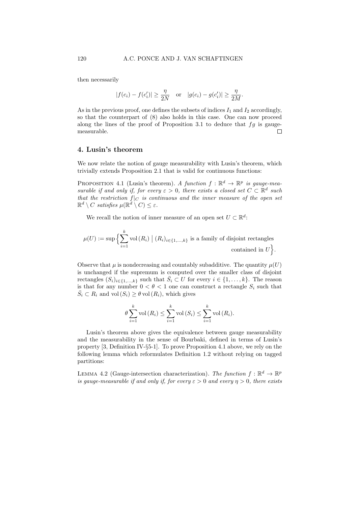then necessarily

$$
|f(c_i) - f(c'_i)| \ge \frac{\eta}{2N} \quad \text{or} \quad |g(c_i) - g(c'_i)| \ge \frac{\eta}{2M}.
$$

As in the previous proof, one defines the subsets of indices  $I_1$  and  $I_2$  accordingly, so that the counterpart of (8) also holds in this case. One can now proceed along the lines of the proof of Proposition 3.1 to deduce that  $fg$  is gaugemeasurable.  $\Box$ 

### 4. Lusin's theorem

We now relate the notion of gauge measurability with Lusin's theorem, which trivially extends Proposition 2.1 that is valid for continuous functions:

PROPOSITION 4.1 (Lusin's theorem). A function  $f : \mathbb{R}^d \to \mathbb{R}^p$  is gauge-measurable if and only if, for every  $\varepsilon > 0$ , there exists a closed set  $C \subset \mathbb{R}^d$  such that the restriction  $f|_C$  is continuous and the inner measure of the open set  $\mathbb{R}^d \setminus C$  satisfies  $\mu(\mathbb{R}^d \setminus C) \leq \varepsilon$ .

We recall the notion of inner measure of an open set  $U \subset \mathbb{R}^d$ :

$$
\mu(U) := \sup \Big\{ \sum_{i=1}^k \text{vol}(R_i) \mid (R_i)_{i \in \{1, \dots, k\}} \text{ is a family of disjoint rectangles} \text{ contained in } U \Big\}.
$$

Observe that  $\mu$  is nondecreasing and countably subadditive. The quantity  $\mu(U)$ is unchanged if the supremum is computed over the smaller class of disjoint rectangles  $(S_i)_{i \in \{1,\ldots,k\}}$  such that  $\bar{S}_i \subset U$  for every  $i \in \{1,\ldots,k\}$ . The reason is that for any number  $0 < \theta < 1$  one can construct a rectangle  $S_i$  such that  $\overline{S}_i \subset R_i$  and vol  $(S_i) \ge \theta$  vol  $(R_i)$ , which gives

$$
\theta \sum_{i=1}^{k} \text{vol}(R_i) \leq \sum_{i=1}^{k} \text{vol}(S_i) \leq \sum_{i=1}^{k} \text{vol}(R_i).
$$

Lusin's theorem above gives the equivalence between gauge measurability and the measurability in the sense of Bourbaki, defined in terms of Lusin's property [3, Definition IV-§5-1]. To prove Proposition 4.1 above, we rely on the following lemma which reformulates Definition 1.2 without relying on tagged partitions:

LEMMA 4.2 (Gauge-intersection characterization). The function  $f : \mathbb{R}^d \to \mathbb{R}^p$ is gauge-measurable if and only if, for every  $\varepsilon > 0$  and every  $\eta > 0$ , there exists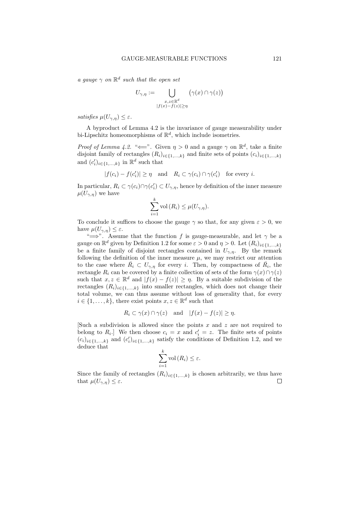a gauge  $\gamma$  on  $\mathbb{R}^d$  such that the open set

$$
U_{\gamma,\eta} := \bigcup_{\substack{x,z \in \mathbb{R}^d \\ |f(x)-f(z)| \geq \eta}} \left(\gamma(x) \cap \gamma(z)\right)
$$

satisfies  $\mu(U_{\gamma,n}) \leq \varepsilon$ .

A byproduct of Lemma 4.2 is the invariance of gauge measurability under bi-Lipschitz homeomorphisms of  $\mathbb{R}^d$ , which include isometries.

*Proof of Lemma 4.2.* " $\Longleftarrow$ ". Given  $\eta > 0$  and a gauge  $\gamma$  on  $\mathbb{R}^d$ , take a finite disjoint family of rectangles  $(R_i)_{i\in\{1,\ldots,k\}}$  and finite sets of points  $(c_i)_{i\in\{1,\ldots,k\}}$ and  $(c'_i)_{i \in \{1,\ldots,k\}}$  in  $\mathbb{R}^d$  such that

$$
|f(c_i) - f(c'_i)| \ge \eta \quad \text{and} \quad R_i \subset \gamma(c_i) \cap \gamma(c'_i) \quad \text{for every } i.
$$

In particular,  $R_i \subset \gamma(c_i) \cap \gamma(c'_i) \subset U_{\gamma,\eta}$ , hence by definition of the inner measure  $\mu(U_{\gamma,\eta})$  we have

$$
\sum_{i=1}^{k} \text{vol}\left(R_{i}\right) \leq \mu(U_{\gamma,\eta}).
$$

To conclude it suffices to choose the gauge  $\gamma$  so that, for any given  $\varepsilon > 0$ , we have  $\mu(U_{\gamma,\eta}) \leq \varepsilon$ .

" $\implies$ ". Assume that the function f is gauge-measurable, and let  $\gamma$  be a gauge on  $\mathbb{R}^d$  given by Definition 1.2 for some  $\varepsilon > 0$  and  $\eta > 0$ . Let  $(R_i)_{i \in \{1,\dots,k\}}$ be a finite family of disjoint rectangles contained in  $U_{\gamma,\eta}$ . By the remark following the definition of the inner measure  $\mu$ , we may restrict our attention to the case where  $\bar{R}_i \subset U_{\gamma,\eta}$  for every i. Then, by compactness of  $\bar{R}_i$ , the rectangle  $R_i$  can be covered by a finite collection of sets of the form  $\gamma(x) \cap \gamma(z)$ such that  $x, z \in \mathbb{R}^d$  and  $|f(x) - f(z)| \geq \eta$ . By a suitable subdivision of the rectangles  $(R_i)_{i \in \{1,\ldots,k\}}$  into smaller rectangles, which does not change their total volume, we can thus assume without loss of generality that, for every  $i \in \{1, \ldots, k\}$ , there exist points  $x, z \in \mathbb{R}^d$  such that

$$
R_i \subset \gamma(x) \cap \gamma(z)
$$
 and  $|f(x) - f(z)| \ge \eta$ .

Such a subdivision is allowed since the points  $x$  and  $z$  are not required to belong to  $R_i$ . We then choose  $c_i = x$  and  $c'_i = z$ . The finite sets of points  $(c_i)_{i\in\{1,\ldots,k\}}$  and  $(c'_i)_{i\in\{1,\ldots,k\}}$  satisfy the conditions of Definition 1.2, and we deduce that

$$
\sum_{i=1}^{k} \text{vol}(R_i) \leq \varepsilon.
$$

Since the family of rectangles  $(R_i)_{i\in\{1,\ldots,k\}}$  is chosen arbitrarily, we thus have that  $\mu(U_{\gamma,\eta}) \leq \varepsilon$ .  $\Box$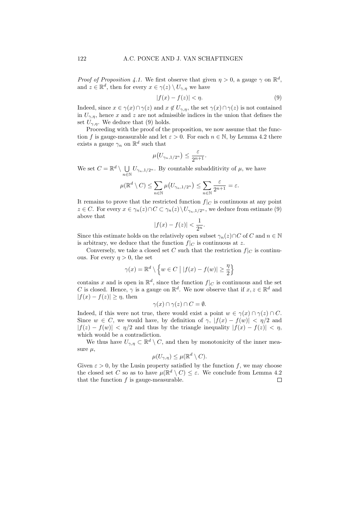*Proof of Proposition 4.1.* We first observe that given  $\eta > 0$ , a gauge  $\gamma$  on  $\mathbb{R}^d$ , and  $z \in \mathbb{R}^d$ , then for every  $x \in \gamma(z) \setminus U_{\gamma,\eta}$  we have

$$
|f(x) - f(z)| < \eta. \tag{9}
$$

Indeed, since  $x \in \gamma(x) \cap \gamma(z)$  and  $x \notin U_{\gamma,\eta}$ , the set  $\gamma(x) \cap \gamma(z)$  is not contained in  $U_{\gamma,\eta}$ , hence x and z are not admissible indices in the union that defines the set  $U_{\gamma,n}$ . We deduce that (9) holds.

Proceeding with the proof of the proposition, we now assume that the function f is gauge-measurable and let  $\varepsilon > 0$ . For each  $n \in \mathbb{N}$ , by Lemma 4.2 there exists a gauge  $\gamma_n$  on  $\mathbb{R}^d$  such that

$$
\mu\big(U_{\gamma_n,1/2^n}\big)\leq \frac{\varepsilon}{2^{n+1}}.
$$

We set  $C = \mathbb{R}^d \setminus \bigcup$  $\bigcup_{n\in\mathbb{N}} U_{\gamma_n,1/2^n}$ . By countable subadditivity of  $\mu$ , we have

$$
\mu(\mathbb{R}^d \setminus C) \le \sum_{n \in \mathbb{N}} \mu(U_{\gamma_n, 1/2^n}) \le \sum_{n \in \mathbb{N}} \frac{\varepsilon}{2^{n+1}} = \varepsilon.
$$

It remains to prove that the restricted function  $f|_C$  is continuous at any point  $z \in C$ . For every  $x \in \gamma_n(z) \cap C \subset \gamma_n(z) \setminus U_{\gamma_n,1/2^n}$ , we deduce from estimate (9) above that

$$
|f(x) - f(z)| < \frac{1}{2^n}.
$$

Since this estimate holds on the relatively open subset  $\gamma_n(z) \cap C$  of C and  $n \in \mathbb{N}$ is arbitrary, we deduce that the function  $f|_C$  is continuous at z.

Conversely, we take a closed set C such that the restriction  $f|_C$  is continuous. For every  $\eta > 0$ , the set

$$
\gamma(x) = \mathbb{R}^d \setminus \left\{ w \in C \mid |f(x) - f(w)| \ge \frac{\eta}{2} \right\}
$$

contains x and is open in  $\mathbb{R}^d$ , since the function  $f|_C$  is continuous and the set C is closed. Hence,  $\gamma$  is a gauge on  $\mathbb{R}^d$ . We now observe that if  $x, z \in \mathbb{R}^d$  and  $|f(x) - f(z)| \geq \eta$ , then

$$
\gamma(x) \cap \gamma(z) \cap C = \emptyset.
$$

Indeed, if this were not true, there would exist a point  $w \in \gamma(x) \cap \gamma(z) \cap C$ . Since  $w \in C$ , we would have, by definition of  $\gamma$ ,  $|f(x) - f(w)| < \eta/2$  and  $|f(z) - f(w)| < \eta/2$  and thus by the triangle inequality  $|f(x) - f(z)| < \eta$ , which would be a contradiction.

We thus have  $U_{\gamma,\eta} \subset \mathbb{R}^d \setminus C$ , and then by monotonicity of the inner measure  $\mu$ ,

$$
\mu(U_{\gamma,\eta}) \leq \mu(\mathbb{R}^d \setminus C).
$$

Given  $\varepsilon > 0$ , by the Lusin property satisfied by the function f, we may choose the closed set C so as to have  $\mu(\mathbb{R}^d \setminus C) \leq \varepsilon$ . We conclude from Lemma 4.2 that the function  $f$  is gauge-measurable.  $\Box$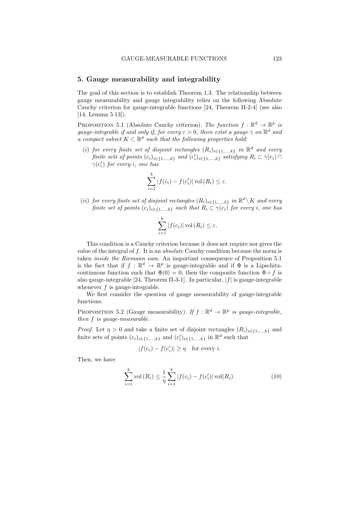### 5. Gauge measurability and integrability

The goal of this section is to establish Theorem 1.3. The relationship between gauge measurability and gauge integrability relies on the following Absolute Cauchy criterion for gauge-integrable functions [24, Theorem II-2-4] (see also [14, Lemma 5.13]).

PROPOSITION 5.1 (Absolute Cauchy criterion). The function  $f : \mathbb{R}^d \to \mathbb{R}^p$  is gauge-integrable if and only if, for every  $\varepsilon > 0$ , there exist a gauge  $\gamma$  on  $\mathbb{R}^d$  and a compact subset  $K \subset \mathbb{R}^d$  such that the following properties hold:

(i) for every finite set of disjoint rectangles  $(R_i)_{i \in \{1,\ldots,k\}}$  in  $\mathbb{R}^d$  and every finite sets of points  $(c_i)_{i \in \{1,\ldots,k\}}$  and  $(c'_i)_{i \in \{1,\ldots,k\}}$  satisfying  $R_i \subset \gamma(c_i) \cap$  $\gamma(c'_i)$  for every *i*, one has

$$
\sum_{i=1}^{k} |f(c_i) - f(c'_i)| \operatorname{vol}(R_i) \leq \varepsilon.
$$

(ii) for every finite set of disjoint rectangles  $(R_i)_{i \in \{1,...,k\}}$  in  $\mathbb{R}^d \setminus K$  and every finite set of points  $(c_i)_{i \in \{1,\ldots,k\}}$  such that  $R_i \subset \gamma(c_i)$  for every i, one has

$$
\sum_{i=1}^{k} |f(c_i)| \operatorname{vol}(R_i) \leq \varepsilon.
$$

This condition is a Cauchy criterion because it does not require nor gives the value of the integral of f. It is an *absolute* Cauchy condition because the norm is taken inside the Riemann sum. An important consequence of Proposition 5.1 is the fact that if  $f : \mathbb{R}^d \to \mathbb{R}^p$  is gauge-integrable and if  $\Phi$  is a Lipschitzcontinuous function such that  $\Phi(0) = 0$ , then the composite function  $\Phi \circ f$  is also gauge-integrable [24, Theorem II-3-1]. In particular,  $|f|$  is gauge-integrable whenever  $f$  is gauge-integrable.

We first consider the question of gauge measurability of gauge-integrable functions.

PROPOSITION 5.2 (Gauge measurability). If  $f : \mathbb{R}^d \to \mathbb{R}^p$  is gauge-integrable, then f is gauge-measurable.

*Proof.* Let  $\eta > 0$  and take a finite set of disjoint rectangles  $(R_i)_{i \in \{1,\ldots,k\}}$  and finite sets of points  $(c_i)_{i \in \{1,\dots,k\}}$  and  $(c'_i)_{i \in \{1,\dots,k\}}$  in  $\mathbb{R}^d$  such that

$$
|f(c_i) - f(c'_i)| \ge \eta \quad \text{for every } i.
$$

Then, we have

$$
\sum_{i=1}^{k} \text{vol}(R_i) \le \frac{1}{\eta} \sum_{i=1}^{k} |f(c_i) - f(c'_i)| \text{vol}(R_i).
$$
 (10)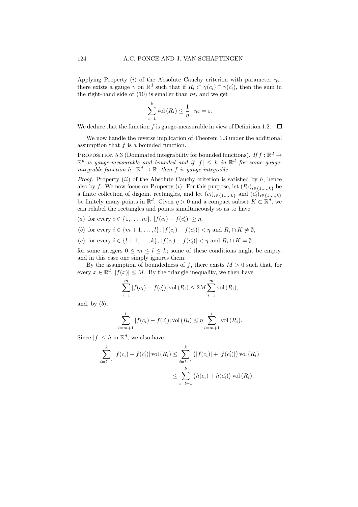Applying Property (i) of the Absolute Cauchy criterion with parameter  $\eta \varepsilon$ , there exists a gauge  $\gamma$  on  $\mathbb{R}^d$  such that if  $R_i \subset \gamma(c_i) \cap \gamma(c'_i)$ , then the sum in the right-hand side of (10) is smaller than  $\eta \varepsilon$ , and we get

$$
\sum_{i=1}^{k} \text{vol}(R_i) \leq \frac{1}{\eta} \cdot \eta \varepsilon = \varepsilon.
$$

We deduce that the function f is gauge-measurable in view of Definition 1.2.  $\Box$ 

We now handle the reverse implication of Theorem 1.3 under the additional assumption that f is a bounded function.

PROPOSITION 5.3 (Dominated integrability for bounded functions). If  $f : \mathbb{R}^d \to$  $\mathbb{R}^p$  is gauge-measurable and bounded and if  $|f| \leq h$  in  $\mathbb{R}^d$  for some gaugeintegrable function  $h : \mathbb{R}^d \to \mathbb{R}$ , then f is gauge-integrable.

*Proof.* Property  $(ii)$  of the Absolute Cauchy criterion is satisfied by  $h$ , hence also by f. We now focus on Property (i). For this purpose, let  $(R_i)_{i \in \{1,\ldots,k\}}$  be a finite collection of disjoint rectangles, and let  $(c_i)_{i \in \{1,\dots,k\}}$  and  $(c'_i)_{i \in \{1,\dots,k\}}$ be finitely many points in  $\mathbb{R}^d$ . Given  $\eta > 0$  and a compact subset  $K \subset \mathbb{R}^d$ , we can relabel the rectangles and points simultaneously so as to have

- (a) for every  $i \in \{1, ..., m\}$ ,  $|f(c_i) f(c'_i)| \geq \eta$ ,
- (b) for every  $i \in \{m+1,\ldots,l\}, |f(c_i) f(c'_i)| < \eta$  and  $R_i \cap K \neq \emptyset$ ,
- (c) for every  $i \in \{l+1,\ldots,k\}, |f(c_i) f(c'_i)| < \eta$  and  $R_i \cap K = \emptyset$ ,

for some integers  $0 \leq m \leq l \leq k$ ; some of these conditions might be empty, and in this case one simply ignores them.

By the assumption of boundedness of f, there exists  $M > 0$  such that, for every  $x \in \mathbb{R}^d$ ,  $|f(x)| \leq M$ . By the triangle inequality, we then have

$$
\sum_{i=1}^{m} |f(c_i) - f(c'_i)| \operatorname{vol}(R_i) \le 2M \sum_{i=1}^{m} \operatorname{vol}(R_i),
$$

and, by  $(b)$ ,

$$
\sum_{i=m+1}^{l} |f(c_i) - f(c'_i)| \operatorname{vol}(R_i) \le \eta \sum_{i=m+1}^{l} \operatorname{vol}(R_i).
$$

Since  $|f| \leq h$  in  $\mathbb{R}^d$ , we also have

$$
\sum_{i=l+1}^{k} |f(c_i) - f(c'_i)| \operatorname{vol}(R_i) \le \sum_{i=l+1}^{k} (|f(c_i)| + |f(c'_i)|) \operatorname{vol}(R_i)
$$
  

$$
\le \sum_{i=l+1}^{k} (h(c_i) + h(c'_i)) \operatorname{vol}(R_i).
$$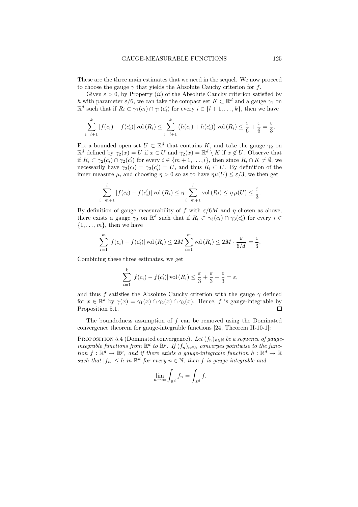These are the three main estimates that we need in the sequel. We now proceed to choose the gauge  $\gamma$  that yields the Absolute Cauchy criterion for f.

Given  $\varepsilon > 0$ , by Property (*ii*) of the Absolute Cauchy criterion satisfied by h with parameter  $\varepsilon/6$ , we can take the compact set  $K \subset \mathbb{R}^d$  and a gauge  $\gamma_1$  on  $\mathbb{R}^d$  such that if  $R_i \subset \gamma_1(c_i) \cap \gamma_1(c'_i)$  for every  $i \in \{l+1,\ldots,k\}$ , then we have

$$
\sum_{i=l+1}^k |f(c_i) - f(c'_i)| \operatorname{vol}(R_i) \le \sum_{i=l+1}^k (h(c_i) + h(c'_i)) \operatorname{vol}(R_i) \le \frac{\varepsilon}{6} + \frac{\varepsilon}{6} = \frac{\varepsilon}{3}.
$$

Fix a bounded open set  $U \subset \mathbb{R}^d$  that contains K, and take the gauge  $\gamma_2$  on  $\mathbb{R}^d$  defined by  $\gamma_2(x) = U$  if  $x \in U$  and  $\gamma_2(x) = \mathbb{R}^d \setminus K$  if  $x \notin U$ . Observe that if  $R_i \subset \gamma_2(c_i) \cap \gamma_2(c'_i)$  for every  $i \in \{m+1,\ldots,l\}$ , then since  $R_i \cap K \neq \emptyset$ , we necessarily have  $\gamma_2(c_i) = \gamma_2(c'_i) = U$ , and thus  $R_i \subset U$ . By definition of the inner measure  $\mu$ , and choosing  $\eta > 0$  so as to have  $\eta \mu(U) \leq \varepsilon/3$ , we then get

$$
\sum_{i=m+1}^{l} |f(c_i) - f(c'_i)| \operatorname{vol}(R_i) \le \eta \sum_{i=m+1}^{l} \operatorname{vol}(R_i) \le \eta \mu(U) \le \frac{\varepsilon}{3}.
$$

By definition of gauge measurability of f with  $\varepsilon/6M$  and  $\eta$  chosen as above, there exists a gauge  $\gamma_3$  on  $\mathbb{R}^d$  such that if  $R_i \subset \gamma_3(c_i) \cap \gamma_3(c'_i)$  for every  $i \in$  $\{1, \ldots, m\}$ , then we have

$$
\sum_{i=1}^{m} |f(c_i) - f(c'_i)| \operatorname{vol}(R_i) \le 2M \sum_{i=1}^{m} \operatorname{vol}(R_i) \le 2M \cdot \frac{\varepsilon}{6M} = \frac{\varepsilon}{3}.
$$

Combining these three estimates, we get

$$
\sum_{i=1}^{k} |f(c_i) - f(c'_i)| \operatorname{vol}(R_i) \le \frac{\varepsilon}{3} + \frac{\varepsilon}{3} + \frac{\varepsilon}{3} = \varepsilon,
$$

and thus f satisfies the Absolute Cauchy criterion with the gauge  $\gamma$  defined for  $x \in \mathbb{R}^d$  by  $\gamma(x) = \gamma_1(x) \cap \gamma_2(x) \cap \gamma_3(x)$ . Hence, f is gauge-integrable by Proposition 5.1.  $\Box$ 

The boundedness assumption of f can be removed using the Dominated convergence theorem for gauge-integrable functions [24, Theorem II-10-1]:

PROPOSITION 5.4 (Dominated convergence). Let  $(f_n)_{n\in\mathbb{N}}$  be a sequence of gaugeintegrable functions from  $\mathbb{R}^d$  to  $\mathbb{R}^p$ . If  $(f_n)_{n\in\mathbb{N}}$  converges pointwise to the function  $f: \mathbb{R}^d \to \mathbb{R}^p$ , and if there exists a gauge-integrable function  $h: \mathbb{R}^d \to \mathbb{R}$ such that  $|f_n| \leq h$  in  $\mathbb{R}^d$  for every  $n \in \mathbb{N}$ , then f is gauge-integrable and

$$
\lim_{n \to \infty} \int_{\mathbb{R}^d} f_n = \int_{\mathbb{R}^d} f.
$$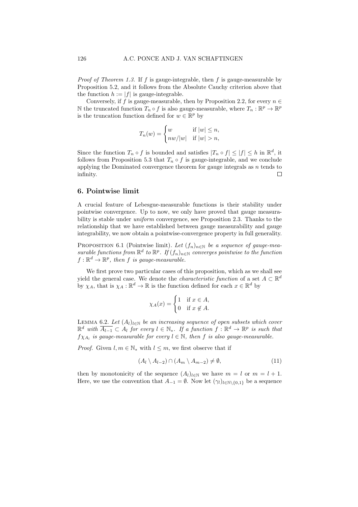*Proof of Theorem 1.3.* If f is gauge-integrable, then f is gauge-measurable by Proposition 5.2, and it follows from the Absolute Cauchy criterion above that the function  $h := |f|$  is gauge-integrable.

Conversely, if f is gauge-measurable, then by Proposition 2.2, for every  $n \in$ N the truncated function  $T_n \circ f$  is also gauge-measurable, where  $T_n : \mathbb{R}^p \to \mathbb{R}^p$ is the truncation function defined for  $w \in \mathbb{R}^p$  by

$$
T_n(w) = \begin{cases} w & \text{if } |w| \le n, \\ nw/|w| & \text{if } |w| > n, \end{cases}
$$

Since the function  $T_n \circ f$  is bounded and satisfies  $|T_n \circ f| \leq |f| \leq h$  in  $\mathbb{R}^d$ , it follows from Proposition 5.3 that  $T_n \circ f$  is gauge-integrable, and we conclude applying the Dominated convergence theorem for gauge integrals as  $n$  tends to infinity.  $\Box$ 

# 6. Pointwise limit

A crucial feature of Lebesgue-measurable functions is their stability under pointwise convergence. Up to now, we only have proved that gauge measurability is stable under *uniform* convergence, see Proposition 2.3. Thanks to the relationship that we have established between gauge measurability and gauge integrability, we now obtain a pointwise-convergence property in full generality.

PROPOSITION 6.1 (Pointwise limit). Let  $(f_n)_{n\in\mathbb{N}}$  be a sequence of gauge-measurable functions from  $\mathbb{R}^d$  to  $\mathbb{R}^p$ . If  $(f_n)_{n\in\mathbb{N}}$  converges pointwise to the function  $f: \mathbb{R}^d \to \mathbb{R}^p$ , then f is gauge-measurable.

We first prove two particular cases of this proposition, which as we shall see yield the general case. We denote the *characteristic function* of a set  $A \subset \mathbb{R}^d$ by  $\chi_A$ , that is  $\chi_A : \mathbb{R}^d \to \mathbb{R}$  is the function defined for each  $x \in \mathbb{R}^d$  by

$$
\chi_A(x) = \begin{cases} 1 & \text{if } x \in A, \\ 0 & \text{if } x \notin A. \end{cases}
$$

LEMMA 6.2. Let  $(A_l)_{l \in \mathbb{N}}$  be an increasing sequence of open subsets which cover  $\mathbb{R}^d$  with  $\overline{A_{l-1}} \subset A_l$  for every  $l \in \mathbb{N}_*$ . If a function  $f : \mathbb{R}^d \to \mathbb{R}^p$  is such that  $f_{XA_{l}}$  is gauge-measurable for every  $l \in \mathbb{N}$ , then f is also gauge-measurable.

*Proof.* Given  $l, m \in \mathbb{N}^*$  with  $l \leq m$ , we first observe that if

$$
(A_l \setminus A_{l-2}) \cap (A_m \setminus A_{m-2}) \neq \emptyset, \tag{11}
$$

then by monotonicity of the sequence  $(A_l)_{l \in \mathbb{N}}$  we have  $m = l$  or  $m = l + 1$ . Here, we use the convention that  $A_{-1} = \emptyset$ . Now let  $(\gamma_l)_{l \in \mathbb{N} \setminus \{0,1\}}$  be a sequence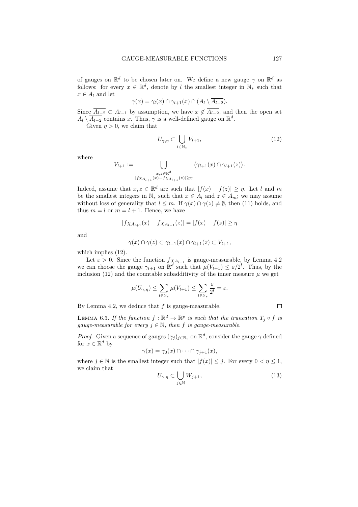of gauges on  $\mathbb{R}^d$  to be chosen later on. We define a new gauge  $\gamma$  on  $\mathbb{R}^d$  as follows: for every  $x \in \mathbb{R}^d$ , denote by l the smallest integer in  $\mathbb{N}_*$  such that  $x \in A_l$  and let

$$
\gamma(x) = \gamma_l(x) \cap \gamma_{l+1}(x) \cap (A_l \setminus \overline{A_{l-2}}).
$$

Since  $A_{l-2} \subset A_{l-1}$  by assumption, we have  $x \notin A_{l-2}$ , and then the open set  $A_l \setminus \overline{A_{l-2}}$  contains x. Thus,  $\gamma$  is a well-defined gauge on  $\mathbb{R}^d$ .

Given  $\eta > 0$ , we claim that

$$
U_{\gamma,\eta} \subset \bigcup_{l \in \mathbb{N}_*} V_{l+1},\tag{12}
$$

where

$$
V_{l+1} := \bigcup_{\substack{x,z \in \mathbb{R}^d \\ |f \chi_{A_{l+1}}(x) - f \chi_{A_{l+1}}(z)| \ge \eta}} \left(\gamma_{l+1}(x) \cap \gamma_{l+1}(z)\right).
$$

Indeed, assume that  $x, z \in \mathbb{R}^d$  are such that  $|f(x) - f(z)| \geq \eta$ . Let l and m be the smallest integers in  $\mathbb{N}_*$  such that  $x \in A_l$  and  $z \in A_m$ ; we may assume without loss of generality that  $l \leq m$ . If  $\gamma(x) \cap \gamma(z) \neq \emptyset$ , then (11) holds, and thus  $m = l$  or  $m = l + 1$ . Hence, we have

$$
|f\chi_{A_{l+1}}(x) - f\chi_{A_{l+1}}(z)| = |f(x) - f(z)| \ge \eta
$$

and

$$
\gamma(x) \cap \gamma(z) \subset \gamma_{l+1}(x) \cap \gamma_{l+1}(z) \subset V_{l+1},
$$

which implies  $(12)$ .

Let  $\varepsilon > 0$ . Since the function  $f \chi_{A_{l+1}}$  is gauge-measurable, by Lemma 4.2 we can choose the gauge  $\gamma_{l+1}$  on  $\mathbb{R}^d$  such that  $\mu(V_{l+1}) \leq \varepsilon/2^l$ . Thus, by the inclusion (12) and the countable subadditivity of the inner measure  $\mu$  we get

$$
\mu(U_{\gamma,\eta}) \leq \sum_{l \in \mathbb{N}_*} \mu(V_{l+1}) \leq \sum_{l \in \mathbb{N}_*} \frac{\varepsilon}{2^l} = \varepsilon.
$$

By Lemma 4.2, we deduce that  $f$  is gauge-measurable.

 $\Box$ 

LEMMA 6.3. If the function  $f : \mathbb{R}^d \to \mathbb{R}^p$  is such that the truncation  $T_j \circ f$  is gauge-measurable for every  $j \in \mathbb{N}$ , then f is gauge-measurable.

*Proof.* Given a sequence of gauges  $(\gamma_j)_{j \in \mathbb{N}_*}$  on  $\mathbb{R}^d$ , consider the gauge  $\gamma$  defined for  $x \in \mathbb{R}^d$  by

$$
\gamma(x) = \gamma_0(x) \cap \cdots \cap \gamma_{j+1}(x),
$$

where  $j \in \mathbb{N}$  is the smallest integer such that  $|f(x)| \leq j$ . For every  $0 \leq \eta \leq 1$ , we claim that

$$
U_{\gamma,\eta} \subset \bigcup_{j \in \mathbb{N}} W_{j+1},\tag{13}
$$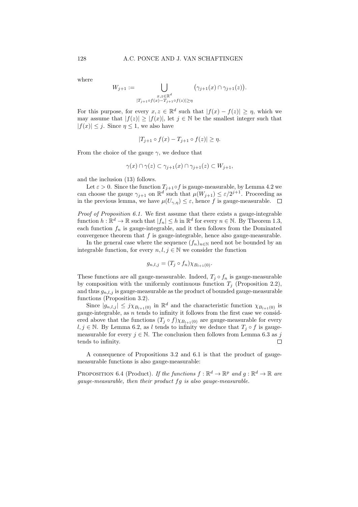where

$$
W_{j+1} := \bigcup_{\substack{x,z \in \mathbb{R}^d \\ |T_{j+1} \circ f(x) - T_{j+1} \circ f(z)| \ge \eta}} \left(\gamma_{j+1}(x) \cap \gamma_{j+1}(z)\right).
$$

For this purpose, for every  $x, z \in \mathbb{R}^d$  such that  $|f(x) - f(z)| \geq \eta$ , which we may assume that  $|f(z)| \geq |f(x)|$ , let  $j \in \mathbb{N}$  be the smallest integer such that  $|f(x)| \leq j$ . Since  $\eta \leq 1$ , we also have

$$
|T_{j+1} \circ f(x) - T_{j+1} \circ f(z)| \ge \eta.
$$

From the choice of the gauge  $\gamma$ , we deduce that

$$
\gamma(x) \cap \gamma(z) \subset \gamma_{j+1}(x) \cap \gamma_{j+1}(z) \subset W_{j+1},
$$

and the inclusion (13) follows.

Let  $\varepsilon > 0$ . Since the function  $T_{j+1} \circ f$  is gauge-measurable, by Lemma 4.2 we can choose the gauge  $\gamma_{j+1}$  on  $\mathbb{R}^d$  such that  $\mu(W_{j+1}) \leq \varepsilon/2^{j+1}$ . Proceeding as in the previous lemma, we have  $\mu(U_{\gamma,\eta}) \leq \varepsilon$ , hence f is gauge-measurable.  $\Box$ 

Proof of Proposition 6.1. We first assume that there exists a gauge-integrable function  $h: \mathbb{R}^d \to \mathbb{R}$  such that  $|f_n| \leq h$  in  $\mathbb{R}^d$  for every  $n \in \mathbb{N}$ . By Theorem 1.3, each function  $f_n$  is gauge-integrable, and it then follows from the Dominated convergence theorem that  $f$  is gauge-integrable, hence also gauge-measurable.

In the general case where the sequence  $(f_n)_{n\in\mathbb{N}}$  need not be bounded by an integrable function, for every  $n, l, j \in \mathbb{N}$  we consider the function

$$
g_{n,l,j} = (T_j \circ f_n) \chi_{B_{l+1}(0)}.
$$

These functions are all gauge-measurable. Indeed,  $T_i \circ f_n$  is gauge-measurable by composition with the uniformly continuous function  $T_j$  (Proposition 2.2), and thus  $g_{n,l,j}$  is gauge-measurable as the product of bounded gauge-measurable functions (Proposition 3.2).

Since  $|g_{n,l,j}| \leq j \chi_{B_{l+1}(0)}$  in  $\mathbb{R}^d$  and the characteristic function  $\chi_{B_{l+1}(0)}$  is gauge-integrable, as  $n$  tends to infinity it follows from the first case we considered above that the functions  $(T_j \circ f) \chi_{B_{l+1}(0)}$  are gauge-measurable for every  $l, j \in \mathbb{N}$ . By Lemma 6.2, as l tends to infinity we deduce that  $T_i \circ f$  is gaugemeasurable for every  $j \in \mathbb{N}$ . The conclusion then follows from Lemma 6.3 as j tends to infinity.  $\Box$ 

A consequence of Propositions 3.2 and 6.1 is that the product of gaugemeasurable functions is also gauge-measurable:

PROPOSITION 6.4 (Product). If the functions  $f : \mathbb{R}^d \to \mathbb{R}^p$  and  $g : \mathbb{R}^d \to \mathbb{R}$  are gauge-measurable, then their product fg is also gauge-measurable.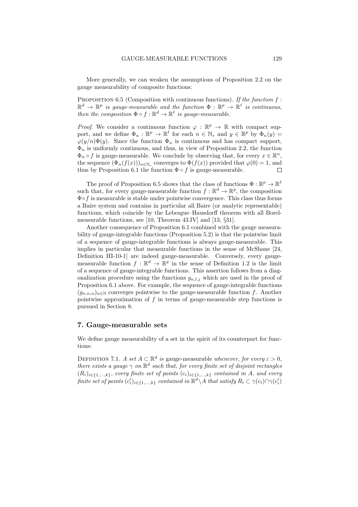More generally, we can weaken the assumptions of Proposition 2.2 on the gauge measurability of composite functions:

PROPOSITION 6.5 (Composition with continuous functions). If the function  $f$ :  $\mathbb{R}^d \to \mathbb{R}^p$  is gauge-measurable and the function  $\Phi : \mathbb{R}^p \to \mathbb{R}^\ell$  is continuous, then the composition  $\Phi \circ f : \mathbb{R}^d \to \mathbb{R}^\ell$  is gauge-measurable.

*Proof.* We consider a continuous function  $\varphi : \mathbb{R}^p \to \mathbb{R}$  with compact support, and we define  $\Phi_n : \mathbb{R}^p \to \mathbb{R}^\ell$  for each  $n \in \mathbb{N}_*$  and  $y \in \mathbb{R}^p$  by  $\Phi_n(y) =$  $\varphi(y/n)\Phi(y)$ . Since the function  $\Phi_n$  is continuous and has compact support,  $\Phi_n$  is uniformly continuous, and thus, in view of Proposition 2.2, the function  $\Phi_n \circ f$  is gauge-measurable. We conclude by observing that, for every  $x \in \mathbb{R}^n$ , the sequence  $(\Phi_n(f(x)))_{n \in \mathbb{N}_*}$  converges to  $\Phi(f(x))$  provided that  $\varphi(0) = 1$ , and thus by Proposition 6.1 the function  $\Phi \circ f$  is gauge-measurable. П

The proof of Proposition 6.5 shows that the class of functions  $\Phi : \mathbb{R}^p \to \mathbb{R}^{\ell}$ such that, for every gauge-measurable function  $f : \mathbb{R}^d \to \mathbb{R}^p$ , the composition  $\Phi \circ f$  is measurable is stable under pointwise convergence. This class thus forms a Baire system and contains in particular all Baire (or analytic representable) functions, which coincide by the Lebesgue–Hausdorff theorem with all Borelmeasurable functions, see [10, Theorem 43.IV] and [13, §31].

Another consequence of Proposition 6.1 combined with the gauge measurability of gauge-integrable functions (Proposition 5.2) is that the pointwise limit of a sequence of gauge-integrable functions is always gauge-measurable. This implies in particular that measurable functions in the sense of McShane [24, Definition III-10-1] are indeed gauge-measurable. Conversely, every gaugemeasurable function  $f : \mathbb{R}^d \to \mathbb{R}^p$  in the sense of Definition 1.2 is the limit of a sequence of gauge-integrable functions. This assertion follows from a diagonalization procedure using the functions  $g_{n,l,j}$  which are used in the proof of Proposition 6.1 above. For example, the sequence of gauge-integrable functions  $(g_{n,n,n})_{n\in\mathbb{N}}$  converges pointwise to the gauge-measurable function f. Another pointwise approximation of  $f$  in terms of gauge-measurable step functions is pursued in Section 8.

### 7. Gauge-measurable sets

We define gauge measurability of a set in the spirit of its counterpart for functions:

DEFINITION 7.1. A set  $A \subset \mathbb{R}^d$  is gauge-measurable whenever, for every  $\varepsilon > 0$ , there exists a gauge  $\gamma$  on  $\mathbb{R}^d$  such that, for every finite set of disjoint rectangles  $(R_i)_{i \in \{1,\ldots,k\}}$ , every finite set of points  $(c_i)_{i \in \{1,\ldots,k\}}$  contained in A, and every  $\emph{finite set of points $(c_i')_{i\in\{1,...,k\}}$ contained in $\mathbb{R}^d\backslash A$ that satisfy $R_i\subset\gamma(c_i)\cap\gamma(c'_i)$}$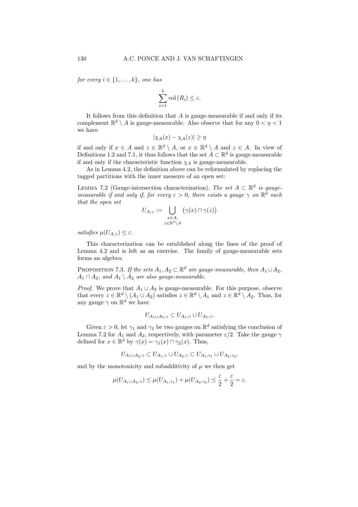for every  $i \in \{1, \ldots, k\}$ , one has

$$
\sum_{i=1}^{k} \text{vol}(R_i) \le \varepsilon.
$$

It follows from this definition that  $A$  is gauge-measurable if and only if its complement  $\mathbb{R}^d \setminus A$  is gauge-measurable. Also observe that for any  $0 < \eta < 1$ we have

$$
|\chi_A(x) - \chi_A(z)| \ge \eta
$$

if and only if  $x \in A$  and  $z \in \mathbb{R}^d \setminus A$ , or  $x \in \mathbb{R}^d \setminus A$  and  $z \in A$ . In view of Definitions 1.2 and 7.1, it thus follows that the set  $A \subset \mathbb{R}^d$  is gauge-measurable if and only if the characteristic function  $\chi_A$  is gauge-measurable.

As in Lemma 4.2, the definition above can be reformulated by replacing the tagged partitions with the inner measure of an open set:

LEMMA 7.2 (Gauge-intersection characterization). The set  $A \subset \mathbb{R}^d$  is gaugemeasurable if and only if, for every  $\varepsilon > 0$ , there exists a gauge  $\gamma$  on  $\mathbb{R}^d$  such that the open set

$$
U_{A,\gamma} := \bigcup_{\substack{x \in A, \\ z \in \mathbb{R}^d \setminus A}} \left( \gamma(x) \cap \gamma(z) \right)
$$

satisfies  $\mu(U_{A,\gamma}) \leq \varepsilon$ .

This characterization can be established along the lines of the proof of Lemma 4.2 and is left as an exercise. The family of gauge-measurable sets forms an algebra:

PROPOSITION 7.3. If the sets  $A_1, A_2 \subset \mathbb{R}^d$  are gauge-measurable, then  $A_1 \cup A_2$ ,  $A_1 \cap A_2$ , and  $A_1 \setminus A_2$  are also gauge-measurable.

*Proof.* We prove that  $A_1 \cup A_2$  is gauge-measurable. For this purpose, observe that every  $z \in \mathbb{R}^d \setminus (A_1 \cup A_2)$  satisfies  $z \in \mathbb{R}^d \setminus A_1$  and  $z \in \mathbb{R}^d \setminus A_2$ . Thus, for any gauge  $\gamma$  on  $\mathbb{R}^d$  we have

$$
U_{A_1\cup A_2,\gamma}\subset U_{A_1,\gamma}\cup U_{A_2,\gamma}.
$$

Given  $\varepsilon > 0$ , let  $\gamma_1$  and  $\gamma_2$  be two gauges on  $\mathbb{R}^d$  satisfying the conclusion of Lemma 7.2 for  $A_1$  and  $A_2$ , respectively, with parameter  $\varepsilon/2$ . Take the gauge  $\gamma$ defined for  $x \in \mathbb{R}^d$  by  $\gamma(x) = \gamma_1(x) \cap \gamma_2(x)$ . Thus,

$$
U_{A_1\cup A_2,\gamma}\subset U_{A_1,\gamma}\cup U_{A_2,\gamma}\subset U_{A_1,\gamma_1}\cup U_{A_2,\gamma_2},
$$

and by the monotonicity and subadditivity of  $\mu$  we then get

$$
\mu(U_{A_1 \cup A_2, \gamma}) \le \mu(U_{A_1, \gamma_1}) + \mu(U_{A_2, \gamma_2}) \le \frac{\varepsilon}{2} + \frac{\varepsilon}{2} = \varepsilon.
$$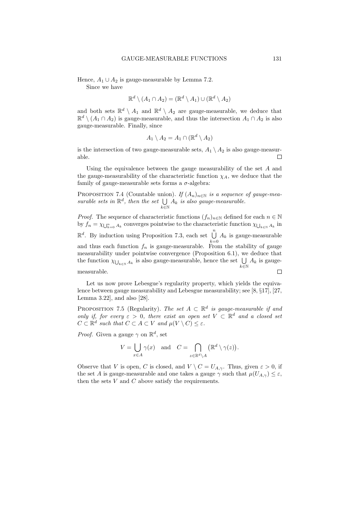Hence,  $A_1 \cup A_2$  is gauge-measurable by Lemma 7.2.

Since we have

$$
\mathbb{R}^d \setminus (A_1 \cap A_2) = (\mathbb{R}^d \setminus A_1) \cup (\mathbb{R}^d \setminus A_2)
$$

and both sets  $\mathbb{R}^d \setminus A_1$  and  $\mathbb{R}^d \setminus A_2$  are gauge-measurable, we deduce that  $\mathbb{R}^d \setminus (A_1 \cap A_2)$  is gauge-measurable, and thus the intersection  $A_1 \cap A_2$  is also gauge-measurable. Finally, since

$$
A_1 \setminus A_2 = A_1 \cap (\mathbb{R}^d \setminus A_2)
$$

is the intersection of two gauge-measurable sets,  $A_1 \setminus A_2$  is also gauge-measurable. П

Using the equivalence between the gauge measurability of the set A and the gauge-measurability of the characteristic function  $\chi_A$ , we deduce that the family of gauge-measurable sets forms a  $\sigma$ -algebra:

PROPOSITION 7.4 (Countable union). If  $(A_n)_{n\in\mathbb{N}}$  is a sequence of gauge-measurable sets in  $\mathbb{R}^d$ , then the set  $\bigcup$  $\bigcup_{k\in\mathbb{N}} A_k$  is also gauge-measurable.

*Proof.* The sequence of characteristic functions  $(f_n)_{n\in\mathbb{N}}$  defined for each  $n \in \mathbb{N}$ by  $f_n = \chi_{\bigcup_{k=0}^n A_k}$  converges pointwise to the characteristic function  $\chi_{\bigcup_{k \in \mathbb{N}} A_k}$  in  $\mathbb{R}^d$ . By induction using Proposition 7.3, each set  $\bigcup^n$  $\bigcup_{k=0} A_k$  is gauge-measurable and thus each function  $f_n$  is gauge-measurable. From the stability of gauge measurability under pointwise convergence (Proposition 6.1), we deduce that the function  $\chi_{\bigcup_{k \in \mathbb{N}} A_k}$  is also gauge-measurable, hence the set  $\bigcup$  $\bigcup_{k\in\mathbb{N}} A_k$  is gaugemeasurable.  $\Box$ 

Let us now prove Lebesgue's regularity property, which yields the equivalence between gauge measurability and Lebesgue measurability; see [8, §17], [27, Lemma 3.22], and also [28].

PROPOSITION 7.5 (Regularity). The set  $A \subset \mathbb{R}^d$  is gauge-measurable if and only if, for every  $\varepsilon > 0$ , there exist an open set  $V \subset \mathbb{R}^d$  and a closed set  $C \subset \mathbb{R}^d$  such that  $C \subset A \subset V$  and  $\mu(V \setminus C) \leq \varepsilon$ .

*Proof.* Given a gauge  $\gamma$  on  $\mathbb{R}^d$ , set

$$
V = \bigcup_{x \in A} \gamma(x) \quad \text{and} \quad C = \bigcap_{z \in \mathbb{R}^d \setminus A} (\mathbb{R}^d \setminus \gamma(z)).
$$

Observe that V is open, C is closed, and  $V \setminus C = U_{A,\gamma}$ . Thus, given  $\varepsilon > 0$ , if the set A is gauge-measurable and one takes a gauge  $\gamma$  such that  $\mu(U_{A,\gamma}) \leq \varepsilon$ , then the sets  $V$  and  $C$  above satisfy the requirements.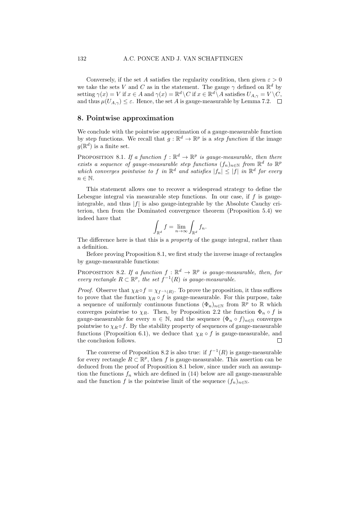Conversely, if the set A satisfies the regularity condition, then given  $\varepsilon > 0$ we take the sets V and C as in the statement. The gauge  $\gamma$  defined on  $\mathbb{R}^d$  by setting  $\gamma(x) = V$  if  $x \in A$  and  $\gamma(x) = \mathbb{R}^d \setminus C$  if  $x \in \mathbb{R}^d \setminus A$  satisfies  $U_{A,\gamma} = V \setminus C$ , and thus  $\mu(U_{A,\gamma}) \leq \varepsilon$ . Hence, the set A is gauge-measurable by Lemma 7.2.  $\Box$ 

# 8. Pointwise approximation

We conclude with the pointwise approximation of a gauge-measurable function by step functions. We recall that  $g: \mathbb{R}^d \to \mathbb{R}^p$  is a *step function* if the image  $g(\mathbb{R}^d)$  is a finite set.

PROPOSITION 8.1. If a function  $f : \mathbb{R}^d \to \mathbb{R}^p$  is gauge-measurable, then there exists a sequence of gauge-measurable step functions  $(f_n)_{n\in\mathbb{N}}$  from  $\mathbb{R}^d$  to  $\mathbb{R}^p$ which converges pointwise to f in  $\mathbb{R}^d$  and satisfies  $|f_n| \leq |f|$  in  $\mathbb{R}^d$  for every  $n \in \mathbb{N}$ .

This statement allows one to recover a widespread strategy to define the Lebesgue integral via measurable step functions. In our case, if  $f$  is gaugeintegrable, and thus  $|f|$  is also gauge-integrable by the Absolute Cauchy criterion, then from the Dominated convergence theorem (Proposition 5.4) we indeed have that

$$
\int_{\mathbb{R}^d} f = \lim_{n \to \infty} \int_{\mathbb{R}^d} f_n.
$$

The difference here is that this is a *property* of the gauge integral, rather than a definition.

Before proving Proposition 8.1, we first study the inverse image of rectangles by gauge-measurable functions:

PROPOSITION 8.2. If a function  $f : \mathbb{R}^d \to \mathbb{R}^p$  is gauge-measurable, then, for every rectangle  $R \subset \mathbb{R}^p$ , the set  $f^{-1}(R)$  is gauge-measurable.

*Proof.* Observe that  $\chi_R \circ f = \chi_{f^{-1}(R)}$ . To prove the proposition, it thus suffices to prove that the function  $\chi_R \circ f$  is gauge-measurable. For this purpose, take a sequence of uniformly continuous functions  $(\Phi_n)_{n\in\mathbb{N}}$  from  $\mathbb{R}^p$  to  $\mathbb R$  which converges pointwise to  $\chi_R$ . Then, by Proposition 2.2 the function  $\Phi_n \circ f$  is gauge-measurable for every  $n \in \mathbb{N}$ , and the sequence  $(\Phi_n \circ f)_{n \in \mathbb{N}}$  converges pointwise to  $\chi_R \circ f$ . By the stability property of sequences of gauge-measurable functions (Proposition 6.1), we deduce that  $\chi_R \circ f$  is gauge-measurable, and the conclusion follows. П

The converse of Proposition 8.2 is also true: if  $f^{-1}(R)$  is gauge-measurable for every rectangle  $R \subset \mathbb{R}^p$ , then f is gauge-measurable. This assertion can be deduced from the proof of Proposition 8.1 below, since under such an assumption the functions  $f_n$  which are defined in (14) below are all gauge-measurable and the function f is the pointwise limit of the sequence  $(f_n)_{n\in\mathbb{N}}$ .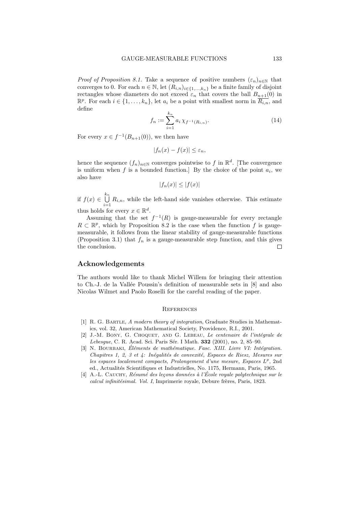*Proof of Proposition 8.1.* Take a sequence of positive numbers  $(\varepsilon_n)_{n\in\mathbb{N}}$  that converges to 0. For each  $n \in \mathbb{N}$ , let  $(R_{i,n})_{i \in \{1,\ldots,k_n\}}$  be a finite family of disjoint rectangles whose diameters do not exceed  $\varepsilon_n$  that covers the ball  $B_{n+1}(0)$  in  $\mathbb{R}^p$ . For each  $i \in \{1, ..., k_n\}$ , let  $a_i$  be a point with smallest norm in  $\overline{R_{i,n}}$ , and define

$$
f_n := \sum_{i=1}^{k_n} a_i \,\chi_{f^{-1}(R_{i,n})}.\tag{14}
$$

For every  $x \in f^{-1}(B_{n+1}(0))$ , we then have

$$
|f_n(x) - f(x)| \le \varepsilon_n,
$$

hence the sequence  $(f_n)_{n\in\mathbb{N}}$  converges pointwise to f in  $\mathbb{R}^d$ . [The convergence is uniform when f is a bounded function.] By the choice of the point  $a_i$ , we also have

$$
|f_n(x)| \le |f(x)|
$$

if  $f(x) \in \bigcup^{k_n}$  $\bigcup_{i=1}$   $R_{i,n}$ , while the left-hand side vanishes otherwise. This estimate thus holds for every  $x \in \mathbb{R}^d$ .

Assuming that the set  $f^{-1}(R)$  is gauge-measurable for every rectangle  $R \subset \mathbb{R}^p$ , which by Proposition 8.2 is the case when the function f is gaugemeasurable, it follows from the linear stability of gauge-measurable functions (Proposition 3.1) that  $f_n$  is a gauge-measurable step function, and this gives the conclusion.  $\Box$ 

### Acknowledgements

The authors would like to thank Michel Willem for bringing their attention to Ch.-J. de la Vallée Poussin's definition of measurable sets in  $[8]$  and also Nicolas Wilmet and Paolo Roselli for the careful reading of the paper.

#### **REFERENCES**

- [1] R. G. Bartle, A modern theory of integration, Graduate Studies in Mathematics, vol. 32, American Mathematical Society, Providence, R.I., 2001.
- [2] J.-M. BONY, G. CHOQUET, AND G. LEBEAU, Le centenaire de l'intégrale de Lebesque, C. R. Acad. Sci. Paris Sér. I Math. 332 (2001), no. 2, 85–90.
- [3] N. BOURBAKI, Éléments de mathématique. Fasc. XIII. Livre VI: Intégration. Chapitres 1, 2, 3 et 4: Inégalités de convexité, Espaces de Riesz, Mesures sur les espaces localement compacts, Prolongement d'une mesure, Espaces  $L^p$ , 2nd ed., Actualités Scientifiques et Industrielles, No. 1175, Hermann, Paris, 1965.
- $[4]$  A.-L. CAUCHY, Résumé des leçons données à l'École royale polytechnique sur le calcul infinitésimal. Vol. I, Imprimerie royale, Debure frères, Paris, 1823.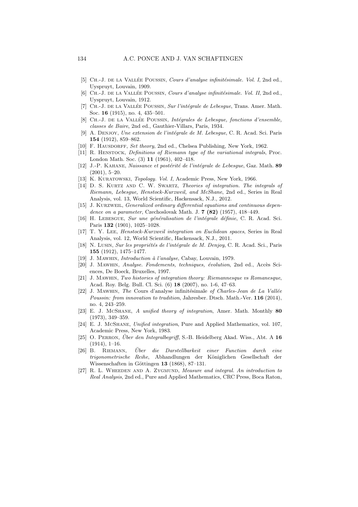- [5] CH.-J. DE LA VALLÉE POUSSIN, Cours d'analyse infinitésimale. Vol. I, 2nd ed., Uyspruyt, Louvain, 1909.
- [6] CH.-J. DE LA VALLÉE POUSSIN, Cours d'analyse infinitésimale. Vol. II, 2nd ed., Uyspruyt, Louvain, 1912.
- [7] CH.-J. DE LA VALLÉE POUSSIN, Sur l'intégrale de Lebesgue, Trans. Amer. Math. Soc. 16 (1915), no. 4, 435–501.
- [8] CH.-J. DE LA VALLÉE POUSSIN, *Intégrales de Lebesgue, fonctions d'ensemble*, classes de Baire, 2nd ed., Gauthier-Villars, Paris, 1934.
- [9] A. DENJOY, Une extension de l'intégrale de M. Lebesgue, C. R. Acad. Sci. Paris 154 (1912), 859–862.
- [10] F. HAUSDORFF, Set theory, 2nd ed., Chelsea Publishing, New York, 1962.
- [11] R. Henstock, Definitions of Riemann type of the variational integrals, Proc. London Math. Soc. (3) 11 (1961), 402–418.
- $[12]$  J.-P. KAHANE, Naissance et postérité de l'intégrale de Lebesgue, Gaz. Math. 89 (2001), 5–20.
- [13] K. KURATOWSKI, *Topology. Vol. I*, Academic Press, New York, 1966.
- [14] D. S. KURTZ AND C. W. SWARTZ, Theories of integration. The integrals of Riemann, Lebesgue, Henstock-Kurzweil, and McShane, 2nd ed., Series in Real Analysis, vol. 13, World Scientific, Hackensack, N.J., 2012.
- [15] J. Kurzweil, Generalized ordinary differential equations and continuous dependence on a parameter, Czechoslovak Math. J. 7 (82) (1957), 418–449.
- [16] H. LEBESGUE, Sur une généralisation de l'intégrale définie, C. R. Acad. Sci. Paris 132 (1901), 1025–1028.
- [17] T. Y. Lee, Henstock-Kurzweil integration on Euclidean spaces, Series in Real Analysis, vol. 12, World Scientific, Hackensack, N.J., 2011.
- [18] N. Lusin, Sur les propriétés de l'intégrale de M. Denjoy, C. R. Acad. Sci., Paris 155 (1912), 1475–1477.
- [19] J. MAWHIN, *Introduction à l'analyse*, Cabay, Louvain, 1979.
- [20] J. MAWHIN, Analyse. Fondements, techniques, évolution, 2nd ed., Accès Sciences, De Boeck, Bruxelles, 1997.
- [21] J. Mawhin, Two histories of integration theory: Riemannesque vs Romanesque, Acad. Roy. Belg. Bull. Cl. Sci. (6) 18 (2007), no. 1-6, 47–63.
- [22] J. MAWHIN, The Cours d'analyse infinitésimale of Charles-Jean de La Vallée Poussin: from innovation to tradition, Jahresber. Dtsch. Math.-Ver. 116 (2014), no. 4, 243–259.
- [23] E. J. McShane, A unified theory of integration, Amer. Math. Monthly 80 (1973), 349–359.
- [24] E. J. McShane, Unified integration, Pure and Applied Mathematics, vol. 107, Academic Press, New York, 1983.
- [25] O. PERRON, Uber den Integralbegriff, S.-B. Heidelberg Akad. Wiss., Abt. A  $16$  $(1914), 1-16.$
- [26] B. Riemann, Uber die Darstellbarkeit einer Function durch eine ¨ trigonometrische Reihe, Abhandlungen der Königlichen Gesellschaft der Wissenschaften in Göttingen 13 (1868), 87-131.
- [27] R. L. WHEEDEN AND A. ZYGMUND, Measure and integral. An introduction to Real Analysis, 2nd ed., Pure and Applied Mathematics, CRC Press, Boca Raton,